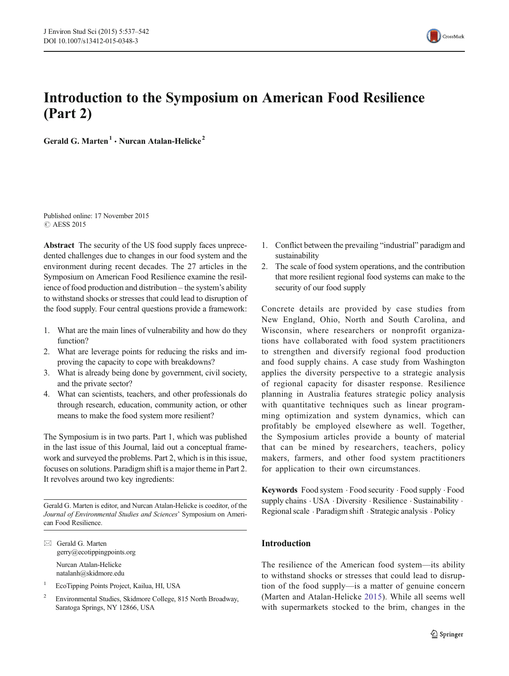

# Introduction to the Symposium on American Food Resilience (Part 2)

Gerald G. Marten<sup>1</sup>  $\cdot$  Nurcan Atalan-Helicke<sup>2</sup>

Published online: 17 November 2015 C AESS 2015

Abstract The security of the US food supply faces unprecedented challenges due to changes in our food system and the environment during recent decades. The 27 articles in the Symposium on American Food Resilience examine the resilience of food production and distribution – the system's ability to withstand shocks or stresses that could lead to disruption of the food supply. Four central questions provide a framework:

- 1. What are the main lines of vulnerability and how do they function?
- 2. What are leverage points for reducing the risks and improving the capacity to cope with breakdowns?
- 3. What is already being done by government, civil society, and the private sector?
- 4. What can scientists, teachers, and other professionals do through research, education, community action, or other means to make the food system more resilient?

The Symposium is in two parts. Part 1, which was published in the last issue of this Journal, laid out a conceptual framework and surveyed the problems. Part 2, which is in this issue, focuses on solutions. Paradigm shift is a major theme in Part 2. It revolves around two key ingredients:

Gerald G. Marten is editor, and Nurcan Atalan-Helicke is coeditor, of the Journal of Environmental Studies and Sciences' Symposium on American Food Resilience.

 $\boxtimes$  Gerald G. Marten gerry@ecotippingpoints.org Nurcan Atalan-Helicke natalanh@skidmore.edu

- <sup>1</sup> EcoTipping Points Project, Kailua, HI, USA
- <sup>2</sup> Environmental Studies, Skidmore College, 815 North Broadway, Saratoga Springs, NY 12866, USA
- 1. Conflict between the prevailing "industrial" paradigm and sustainability
- 2. The scale of food system operations, and the contribution that more resilient regional food systems can make to the security of our food supply

Concrete details are provided by case studies from New England, Ohio, North and South Carolina, and Wisconsin, where researchers or nonprofit organizations have collaborated with food system practitioners to strengthen and diversify regional food production and food supply chains. A case study from Washington applies the diversity perspective to a strategic analysis of regional capacity for disaster response. Resilience planning in Australia features strategic policy analysis with quantitative techniques such as linear programming optimization and system dynamics, which can profitably be employed elsewhere as well. Together, the Symposium articles provide a bounty of material that can be mined by researchers, teachers, policy makers, farmers, and other food system practitioners for application to their own circumstances.

Keywords Food system . Food security . Food supply . Food supply chains . USA . Diversity . Resilience . Sustainability . Regional scale . Paradigm shift . Strategic analysis . Policy

## Introduction

The resilience of the American food system—its ability to withstand shocks or stresses that could lead to disruption of the food supply—is a matter of genuine concern (Marten and Atalan-Helicke [2015](#page-5-0)). While all seems well with supermarkets stocked to the brim, changes in the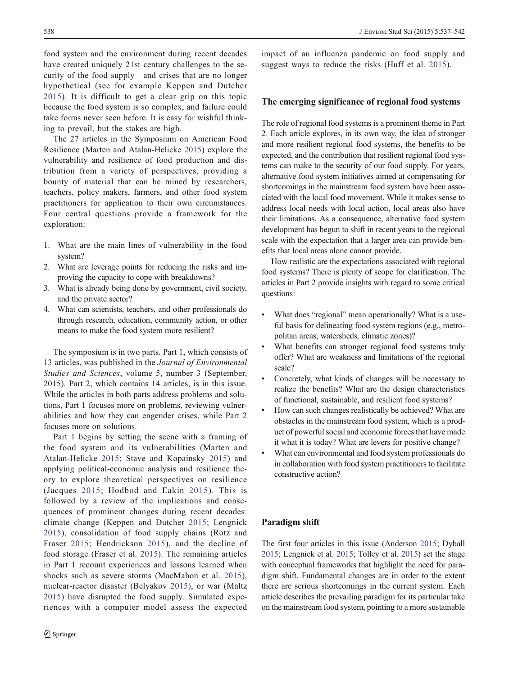food system and the environment during recent decades have created uniquely 21st century challenges to the security of the food supply—and crises that are no longer hypothetical (see for example Keppen and Dutcher [2015](#page-5-0)). It is difficult to get a clear grip on this topic because the food system is so complex, and failure could take forms never seen before. It is easy for wishful thinking to prevail, but the stakes are high.

The 27 articles in the Symposium on American Food Resilience (Marten and Atalan-Helicke [2015](#page-5-0)) explore the vulnerability and resilience of food production and distribution from a variety of perspectives, providing a bounty of material that can be mined by researchers, teachers, policy makers, farmers, and other food system practitioners for application to their own circumstances. Four central questions provide a framework for the exploration:

- 1. What are the main lines of vulnerability in the food system?
- 2. What are leverage points for reducing the risks and improving the capacity to cope with breakdowns?
- 3. What is already being done by government, civil society, and the private sector?
- 4. What can scientists, teachers, and other professionals do through research, education, community action, or other means to make the food system more resilient?

The symposium is in two parts. Part 1, which consists of 13 articles, was published in the Journal of Environmental Studies and Sciences, volume 5, number 3 (September, 2015). Part 2, which contains 14 articles, is in this issue. While the articles in both parts address problems and solutions, Part 1 focuses more on problems, reviewing vulnerabilities and how they can engender crises, while Part 2 focuses more on solutions.

Part 1 begins by setting the scene with a framing of the food system and its vulnerabilities (Marten and Atalan-Helicke [2015;](#page-5-0) Stave and Kopainsky [2015\)](#page-5-0) and applying political-economic analysis and resilience theory to explore theoretical perspectives on resilience (Jacques [2015](#page-5-0); Hodbod and Eakin [2015\)](#page-5-0). This is followed by a review of the implications and consequences of prominent changes during recent decades: climate change (Keppen and Dutcher [2015;](#page-5-0) Lengnick [2015\)](#page-5-0), consolidation of food supply chains (Rotz and Fraser [2015](#page-5-0); Hendrickson [2015\)](#page-4-0), and the decline of food storage (Fraser et al. [2015](#page-4-0)). The remaining articles in Part 1 recount experiences and lessons learned when shocks such as severe storms (MacMahon et al. [2015](#page-5-0)), nuclear-reactor disaster (Belyakov [2015](#page-4-0)), or war (Maltz [2015\)](#page-5-0) have disrupted the food supply. Simulated experiences with a computer model assess the expected

impact of an influenza pandemic on food supply and suggest ways to reduce the risks (Huff et al. [2015\)](#page-5-0).

## The emerging significance of regional food systems

The role of regional food systems is a prominent theme in Part 2. Each article explores, in its own way, the idea of stronger and more resilient regional food systems, the benefits to be expected, and the contribution that resilient regional food systems can make to the security of our food supply. For years, alternative food system initiatives aimed at compensating for shortcomings in the mainstream food system have been associated with the local food movement. While it makes sense to address local needs with local action, local areas also have their limitations. As a consequence, alternative food system development has begun to shift in recent years to the regional scale with the expectation that a larger area can provide benefits that local areas alone cannot provide.

How realistic are the expectations associated with regional food systems? There is plenty of scope for clarification. The articles in Part 2 provide insights with regard to some critical questions:

- What does "regional" mean operationally? What is a useful basis for delineating food system regions (e.g., metropolitan areas, watersheds, climatic zones)?
- What benefits can stronger regional food systems truly offer? What are weakness and limitations of the regional scale?
- Concretely, what kinds of changes will be necessary to realize the benefits? What are the design characteristics of functional, sustainable, and resilient food systems?
- How can such changes realistically be achieved? What are obstacles in the mainstream food system, which is a product of powerful social and economic forces that have made it what it is today? What are levers for positive change?
- What can environmental and food system professionals do in collaboration with food system practitioners to facilitate constructive action?

#### Paradigm shift

The first four articles in this issue (Anderson [2015](#page-4-0); Dyball [2015;](#page-4-0) Lengnick et al. [2015;](#page-5-0) Tolley et al. [2015](#page-5-0)) set the stage with conceptual frameworks that highlight the need for paradigm shift. Fundamental changes are in order to the extent there are serious shortcomings in the current system. Each article describes the prevailing paradigm for its particular take on the mainstream food system, pointing to a more sustainable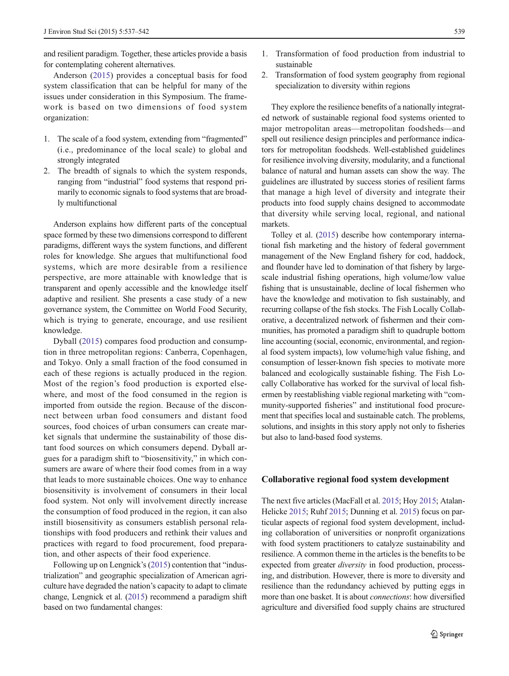and resilient paradigm. Together, these articles provide a basis for contemplating coherent alternatives.

Anderson ([2015](#page-4-0)) provides a conceptual basis for food system classification that can be helpful for many of the issues under consideration in this Symposium. The framework is based on two dimensions of food system organization:

- 1. The scale of a food system, extending from "fragmented" (i.e., predominance of the local scale) to global and strongly integrated
- 2. The breadth of signals to which the system responds, ranging from "industrial" food systems that respond primarily to economic signals to food systems that are broadly multifunctional

Anderson explains how different parts of the conceptual space formed by these two dimensions correspond to different paradigms, different ways the system functions, and different roles for knowledge. She argues that multifunctional food systems, which are more desirable from a resilience perspective, are more attainable with knowledge that is transparent and openly accessible and the knowledge itself adaptive and resilient. She presents a case study of a new governance system, the Committee on World Food Security, which is trying to generate, encourage, and use resilient knowledge.

Dyball ([2015](#page-4-0)) compares food production and consumption in three metropolitan regions: Canberra, Copenhagen, and Tokyo. Only a small fraction of the food consumed in each of these regions is actually produced in the region. Most of the region's food production is exported elsewhere, and most of the food consumed in the region is imported from outside the region. Because of the disconnect between urban food consumers and distant food sources, food choices of urban consumers can create market signals that undermine the sustainability of those distant food sources on which consumers depend. Dyball argues for a paradigm shift to "biosensitivity," in which consumers are aware of where their food comes from in a way that leads to more sustainable choices. One way to enhance biosensitivity is involvement of consumers in their local food system. Not only will involvement directly increase the consumption of food produced in the region, it can also instill biosensitivity as consumers establish personal relationships with food producers and rethink their values and practices with regard to food procurement, food preparation, and other aspects of their food experience.

Following up on Lengnick's [\(2015](#page-5-0)) contention that "industrialization" and geographic specialization of American agriculture have degraded the nation's capacity to adapt to climate change, Lengnick et al. ([2015](#page-5-0)) recommend a paradigm shift based on two fundamental changes:

- 1. Transformation of food production from industrial to sustainable
- 2. Transformation of food system geography from regional specialization to diversity within regions

They explore the resilience benefits of a nationally integrated network of sustainable regional food systems oriented to major metropolitan areas—metropolitan foodsheds—and spell out resilience design principles and performance indicators for metropolitan foodsheds. Well-established guidelines for resilience involving diversity, modularity, and a functional balance of natural and human assets can show the way. The guidelines are illustrated by success stories of resilient farms that manage a high level of diversity and integrate their products into food supply chains designed to accommodate that diversity while serving local, regional, and national markets.

Tolley et al. [\(2015\)](#page-5-0) describe how contemporary international fish marketing and the history of federal government management of the New England fishery for cod, haddock, and flounder have led to domination of that fishery by largescale industrial fishing operations, high volume/low value fishing that is unsustainable, decline of local fishermen who have the knowledge and motivation to fish sustainably, and recurring collapse of the fish stocks. The Fish Locally Collaborative, a decentralized network of fishermen and their communities, has promoted a paradigm shift to quadruple bottom line accounting (social, economic, environmental, and regional food system impacts), low volume/high value fishing, and consumption of lesser-known fish species to motivate more balanced and ecologically sustainable fishing. The Fish Locally Collaborative has worked for the survival of local fishermen by reestablishing viable regional marketing with "community-supported fisheries" and institutional food procurement that specifies local and sustainable catch. The problems, solutions, and insights in this story apply not only to fisheries but also to land-based food systems.

#### Collaborative regional food system development

The next five articles (MacFall et al. [2015;](#page-5-0) Hoy [2015](#page-5-0); Atalan-Helicke [2015](#page-4-0); Ruhf [2015;](#page-5-0) Dunning et al. [2015](#page-4-0)) focus on particular aspects of regional food system development, including collaboration of universities or nonprofit organizations with food system practitioners to catalyze sustainability and resilience. A common theme in the articles is the benefits to be expected from greater *diversity* in food production, processing, and distribution. However, there is more to diversity and resilience than the redundancy achieved by putting eggs in more than one basket. It is about connections: how diversified agriculture and diversified food supply chains are structured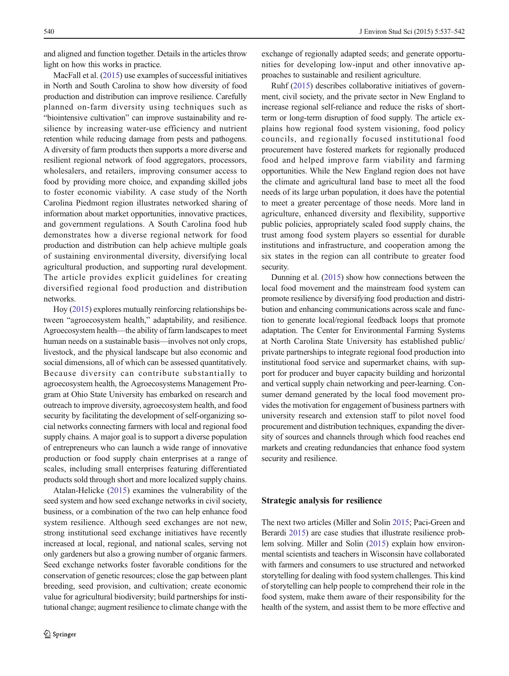and aligned and function together. Details in the articles throw light on how this works in practice.

MacFall et al. [\(2015](#page-5-0)) use examples of successful initiatives in North and South Carolina to show how diversity of food production and distribution can improve resilience. Carefully planned on-farm diversity using techniques such as "biointensive cultivation" can improve sustainability and resilience by increasing water-use efficiency and nutrient retention while reducing damage from pests and pathogens. A diversity of farm products then supports a more diverse and resilient regional network of food aggregators, processors, wholesalers, and retailers, improving consumer access to food by providing more choice, and expanding skilled jobs to foster economic viability. A case study of the North Carolina Piedmont region illustrates networked sharing of information about market opportunities, innovative practices, and government regulations. A South Carolina food hub demonstrates how a diverse regional network for food production and distribution can help achieve multiple goals of sustaining environmental diversity, diversifying local agricultural production, and supporting rural development. The article provides explicit guidelines for creating diversified regional food production and distribution networks.

Hoy ([2015](#page-5-0)) explores mutually reinforcing relationships between "agroecosystem health," adaptability, and resilience. Agroecosystem health—the ability of farm landscapes to meet human needs on a sustainable basis—involves not only crops, livestock, and the physical landscape but also economic and social dimensions, all of which can be assessed quantitatively. Because diversity can contribute substantially to agroecosystem health, the Agroecosystems Management Program at Ohio State University has embarked on research and outreach to improve diversity, agroecosystem health, and food security by facilitating the development of self-organizing social networks connecting farmers with local and regional food supply chains. A major goal is to support a diverse population of entrepreneurs who can launch a wide range of innovative production or food supply chain enterprises at a range of scales, including small enterprises featuring differentiated products sold through short and more localized supply chains.

Atalan-Helicke ([2015\)](#page-4-0) examines the vulnerability of the seed system and how seed exchange networks in civil society, business, or a combination of the two can help enhance food system resilience. Although seed exchanges are not new, strong institutional seed exchange initiatives have recently increased at local, regional, and national scales, serving not only gardeners but also a growing number of organic farmers. Seed exchange networks foster favorable conditions for the conservation of genetic resources; close the gap between plant breeding, seed provision, and cultivation; create economic value for agricultural biodiversity; build partnerships for institutional change; augment resilience to climate change with the

exchange of regionally adapted seeds; and generate opportunities for developing low-input and other innovative approaches to sustainable and resilient agriculture.

Ruhf [\(2015\)](#page-5-0) describes collaborative initiatives of government, civil society, and the private sector in New England to increase regional self-reliance and reduce the risks of shortterm or long-term disruption of food supply. The article explains how regional food system visioning, food policy councils, and regionally focused institutional food procurement have fostered markets for regionally produced food and helped improve farm viability and farming opportunities. While the New England region does not have the climate and agricultural land base to meet all the food needs of its large urban population, it does have the potential to meet a greater percentage of those needs. More land in agriculture, enhanced diversity and flexibility, supportive public policies, appropriately scaled food supply chains, the trust among food system players so essential for durable institutions and infrastructure, and cooperation among the six states in the region can all contribute to greater food security.

Dunning et al. [\(2015](#page-4-0)) show how connections between the local food movement and the mainstream food system can promote resilience by diversifying food production and distribution and enhancing communications across scale and function to generate local/regional feedback loops that promote adaptation. The Center for Environmental Farming Systems at North Carolina State University has established public/ private partnerships to integrate regional food production into institutional food service and supermarket chains, with support for producer and buyer capacity building and horizontal and vertical supply chain networking and peer-learning. Consumer demand generated by the local food movement provides the motivation for engagement of business partners with university research and extension staff to pilot novel food procurement and distribution techniques, expanding the diversity of sources and channels through which food reaches end markets and creating redundancies that enhance food system security and resilience.

#### Strategic analysis for resilience

The next two articles (Miller and Solin [2015](#page-5-0); Paci-Green and Berardi [2015\)](#page-5-0) are case studies that illustrate resilience problem solving. Miller and Solin [\(2015\)](#page-5-0) explain how environmental scientists and teachers in Wisconsin have collaborated with farmers and consumers to use structured and networked storytelling for dealing with food system challenges. This kind of storytelling can help people to comprehend their role in the food system, make them aware of their responsibility for the health of the system, and assist them to be more effective and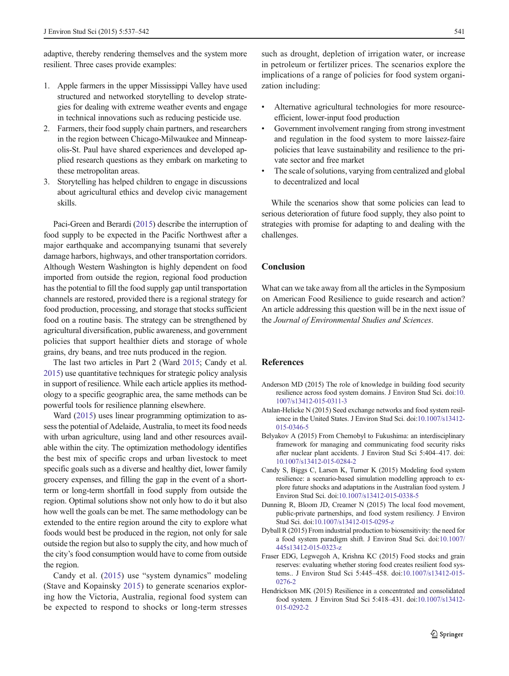<span id="page-4-0"></span>adaptive, thereby rendering themselves and the system more resilient. Three cases provide examples:

- 1. Apple farmers in the upper Mississippi Valley have used structured and networked storytelling to develop strategies for dealing with extreme weather events and engage in technical innovations such as reducing pesticide use.
- 2. Farmers, their food supply chain partners, and researchers in the region between Chicago-Milwaukee and Minneapolis-St. Paul have shared experiences and developed applied research questions as they embark on marketing to these metropolitan areas.
- 3. Storytelling has helped children to engage in discussions about agricultural ethics and develop civic management skills.

Paci-Green and Berardi [\(2015\)](#page-5-0) describe the interruption of food supply to be expected in the Pacific Northwest after a major earthquake and accompanying tsunami that severely damage harbors, highways, and other transportation corridors. Although Western Washington is highly dependent on food imported from outside the region, regional food production has the potential to fill the food supply gap until transportation channels are restored, provided there is a regional strategy for food production, processing, and storage that stocks sufficient food on a routine basis. The strategy can be strengthened by agricultural diversification, public awareness, and government policies that support healthier diets and storage of whole grains, dry beans, and tree nuts produced in the region.

The last two articles in Part 2 (Ward [2015;](#page-5-0) Candy et al. 2015) use quantitative techniques for strategic policy analysis in support of resilience. While each article applies its methodology to a specific geographic area, the same methods can be powerful tools for resilience planning elsewhere.

Ward [\(2015\)](#page-5-0) uses linear programming optimization to assess the potential of Adelaide, Australia, to meet its food needs with urban agriculture, using land and other resources available within the city. The optimization methodology identifies the best mix of specific crops and urban livestock to meet specific goals such as a diverse and healthy diet, lower family grocery expenses, and filling the gap in the event of a shortterm or long-term shortfall in food supply from outside the region. Optimal solutions show not only how to do it but also how well the goals can be met. The same methodology can be extended to the entire region around the city to explore what foods would best be produced in the region, not only for sale outside the region but also to supply the city, and how much of the city's food consumption would have to come from outside the region.

Candy et al. (2015) use "system dynamics" modeling (Stave and Kopainsky [2015\)](#page-5-0) to generate scenarios exploring how the Victoria, Australia, regional food system can be expected to respond to shocks or long-term stresses

such as drought, depletion of irrigation water, or increase in petroleum or fertilizer prices. The scenarios explore the implications of a range of policies for food system organization including:

- Alternative agricultural technologies for more resourceefficient, lower-input food production
- Government involvement ranging from strong investment and regulation in the food system to more laissez-faire policies that leave sustainability and resilience to the private sector and free market
- The scale of solutions, varying from centralized and global to decentralized and local

While the scenarios show that some policies can lead to serious deterioration of future food supply, they also point to strategies with promise for adapting to and dealing with the challenges.

## **Conclusion**

What can we take away from all the articles in the Symposium on American Food Resilience to guide research and action? An article addressing this question will be in the next issue of the Journal of Environmental Studies and Sciences.

### **References**

- Anderson MD (2015) The role of knowledge in building food security resilience across food system domains. J Environ Stud Sci. doi[:10.](http://dx.doi.org/10.1007/s13412-015-0311-3) [1007/s13412-015-0311-3](http://dx.doi.org/10.1007/s13412-015-0311-3)
- Atalan-Helicke N (2015) Seed exchange networks and food system resilience in the United States. J Environ Stud Sci. doi:[10.1007/s13412-](http://dx.doi.org/10.1007/s13412-015-0346-5) [015-0346-5](http://dx.doi.org/10.1007/s13412-015-0346-5)
- Belyakov A (2015) From Chernobyl to Fukushima: an interdisciplinary framework for managing and communicating food security risks after nuclear plant accidents. J Environ Stud Sci 5:404–417. doi: [10.1007/s13412-015-0284-2](http://dx.doi.org/10.1007/s13412-015-0284-2)
- Candy S, Biggs C, Larsen K, Turner K (2015) Modeling food system resilience: a scenario-based simulation modelling approach to explore future shocks and adaptations in the Australian food system. J Environ Stud Sci. doi[:10.1007/s13412-015-0338-5](http://dx.doi.org/10.1007/s13412-015-0338-5)
- Dunning R, Bloom JD, Creamer N (2015) The local food movement, public-private partnerships, and food system resiliency. J Environ Stud Sci. doi:[10.1007/s13412-015-0295-z](http://dx.doi.org/10.1007/s13412-015-0295-z)
- Dyball R (2015) From industrial production to biosensitivity: the need for a food system paradigm shift. J Environ Stud Sci. doi[:10.1007/](http://dx.doi.org/10.1007/445s13412-015-0323-z) [445s13412-015-0323-z](http://dx.doi.org/10.1007/445s13412-015-0323-z)
- Fraser EDG, Legwegoh A, Krishna KC (2015) Food stocks and grain reserves: evaluating whether storing food creates resilient food systems.. J Environ Stud Sci 5:445–458. doi[:10.1007/s13412-015-](http://dx.doi.org/10.1007/s13412-015-0276-2) [0276-2](http://dx.doi.org/10.1007/s13412-015-0276-2)
- Hendrickson MK (2015) Resilience in a concentrated and consolidated food system. J Environ Stud Sci 5:418–431. doi:[10.1007/s13412-](http://dx.doi.org/10.1007/s13412-015-0292-2) [015-0292-2](http://dx.doi.org/10.1007/s13412-015-0292-2)